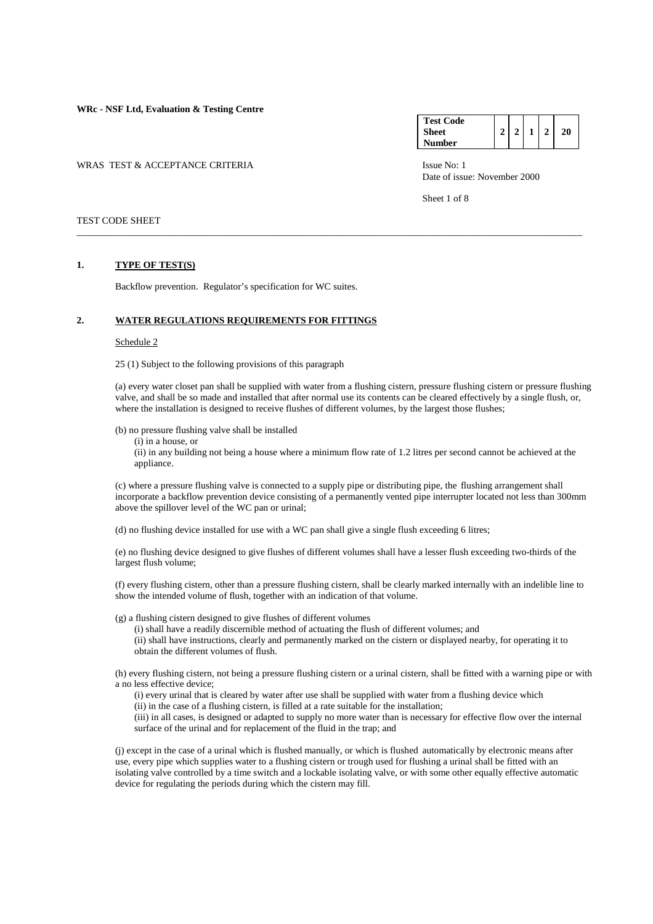**WRc - NSF Ltd, Evaluation & Testing Centre** 

| <b>Test Code</b> |  |  |    |
|------------------|--|--|----|
| <b>Sheet</b>     |  |  | 20 |
| <b>Number</b>    |  |  |    |

WRAS TEST & ACCEPTANCE CRITERIA ISSUE No: 1

Date of issue: November 2000

Sheet 1 of 8

## TEST CODE SHEET

## **1. TYPE OF TEST(S)**

Backflow prevention. Regulator's specification for WC suites.

## **2. WATER REGULATIONS REQUIREMENTS FOR FITTINGS**

## Schedule 2

25 (1) Subject to the following provisions of this paragraph

 (a) every water closet pan shall be supplied with water from a flushing cistern, pressure flushing cistern or pressure flushing valve, and shall be so made and installed that after normal use its contents can be cleared effectively by a single flush, or, where the installation is designed to receive flushes of different volumes, by the largest those flushes;

\_\_\_\_\_\_\_\_\_\_\_\_\_\_\_\_\_\_\_\_\_\_\_\_\_\_\_\_\_\_\_\_\_\_\_\_\_\_\_\_\_\_\_\_\_\_\_\_\_\_\_\_\_\_\_\_\_\_\_\_\_\_\_\_\_\_\_\_\_\_\_\_\_\_\_\_\_\_\_\_\_\_\_\_\_\_\_\_\_\_\_\_\_\_\_\_\_\_\_\_\_\_\_\_

(b) no pressure flushing valve shall be installed

 $(i)$  in a house, or

(ii) in any building not being a house where a minimum flow rate of 1.2 litres per second cannot be achieved at the appliance.

 (c) where a pressure flushing valve is connected to a supply pipe or distributing pipe, the flushing arrangement shall incorporate a backflow prevention device consisting of a permanently vented pipe interrupter located not less than 300mm above the spillover level of the WC pan or urinal;

(d) no flushing device installed for use with a WC pan shall give a single flush exceeding 6 litres;

(e) no flushing device designed to give flushes of different volumes shall have a lesser flush exceeding two-thirds of the largest flush volume;

(f) every flushing cistern, other than a pressure flushing cistern, shall be clearly marked internally with an indelible line to show the intended volume of flush, together with an indication of that volume.

(g) a flushing cistern designed to give flushes of different volumes

 (i) shall have a readily discernible method of actuating the flush of different volumes; and (ii) shall have instructions, clearly and permanently marked on the cistern or displayed nearby, for operating it to obtain the different volumes of flush.

(h) every flushing cistern, not being a pressure flushing cistern or a urinal cistern, shall be fitted with a warning pipe or with a no less effective device;

(i) every urinal that is cleared by water after use shall be supplied with water from a flushing device which (ii) in the case of a flushing cistern, is filled at a rate suitable for the installation;

(iii) in all cases, is designed or adapted to supply no more water than is necessary for effective flow over the internal surface of the urinal and for replacement of the fluid in the trap; and

(j) except in the case of a urinal which is flushed manually, or which is flushed automatically by electronic means after use, every pipe which supplies water to a flushing cistern or trough used for flushing a urinal shall be fitted with an isolating valve controlled by a time switch and a lockable isolating valve, or with some other equally effective automatic device for regulating the periods during which the cistern may fill.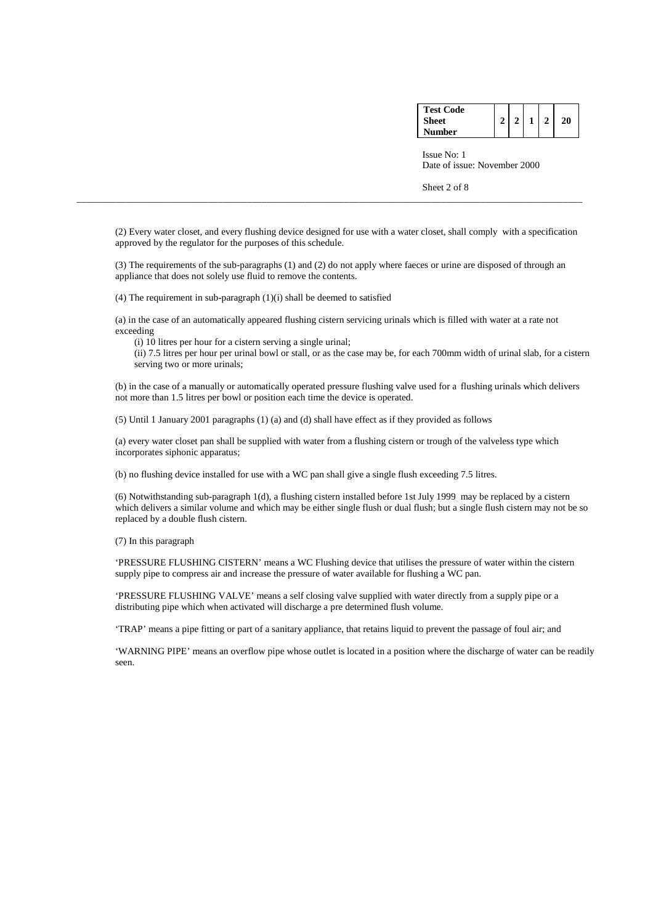| <b>Test Code</b> |  |   |    |
|------------------|--|---|----|
| Sheet            |  | ∍ | 20 |
| Number           |  |   |    |
|                  |  |   |    |

 Issue No: 1 Date of issue: November 2000

Sheet 2 of 8

(2) Every water closet, and every flushing device designed for use with a water closet, shall comply with a specification approved by the regulator for the purposes of this schedule.

\_\_\_\_\_\_\_\_\_\_\_\_\_\_\_\_\_\_\_\_\_\_\_\_\_\_\_\_\_\_\_\_\_\_\_\_\_\_\_\_\_\_\_\_\_\_\_\_\_\_\_\_\_\_\_\_\_\_\_\_\_\_\_\_\_\_\_\_\_\_\_\_\_\_\_\_\_\_\_\_\_\_\_\_\_\_\_\_\_\_\_\_\_\_\_\_\_\_\_\_\_\_\_\_

(3) The requirements of the sub-paragraphs (1) and (2) do not apply where faeces or urine are disposed of through an appliance that does not solely use fluid to remove the contents.

(4) The requirement in sub-paragraph (1)(i) shall be deemed to satisfied

(a) in the case of an automatically appeared flushing cistern servicing urinals which is filled with water at a rate not exceeding

(i) 10 litres per hour for a cistern serving a single urinal;

(ii) 7.5 litres per hour per urinal bowl or stall, or as the case may be, for each 700mm width of urinal slab, for a cistern serving two or more urinals;

(b) in the case of a manually or automatically operated pressure flushing valve used for a flushing urinals which delivers not more than 1.5 litres per bowl or position each time the device is operated.

(5) Until 1 January 2001 paragraphs (1) (a) and (d) shall have effect as if they provided as follows

(a) every water closet pan shall be supplied with water from a flushing cistern or trough of the valveless type which incorporates siphonic apparatus;

(b) no flushing device installed for use with a WC pan shall give a single flush exceeding 7.5 litres.

(6) Notwithstanding sub-paragraph 1(d), a flushing cistern installed before 1st July 1999 may be replaced by a cistern which delivers a similar volume and which may be either single flush or dual flush; but a single flush cistern may not be so replaced by a double flush cistern.

(7) In this paragraph

'PRESSURE FLUSHING CISTERN' means a WC Flushing device that utilises the pressure of water within the cistern supply pipe to compress air and increase the pressure of water available for flushing a WC pan.

'PRESSURE FLUSHING VALVE' means a self closing valve supplied with water directly from a supply pipe or a distributing pipe which when activated will discharge a pre determined flush volume.

'TRAP' means a pipe fitting or part of a sanitary appliance, that retains liquid to prevent the passage of foul air; and

'WARNING PIPE' means an overflow pipe whose outlet is located in a position where the discharge of water can be readily seen.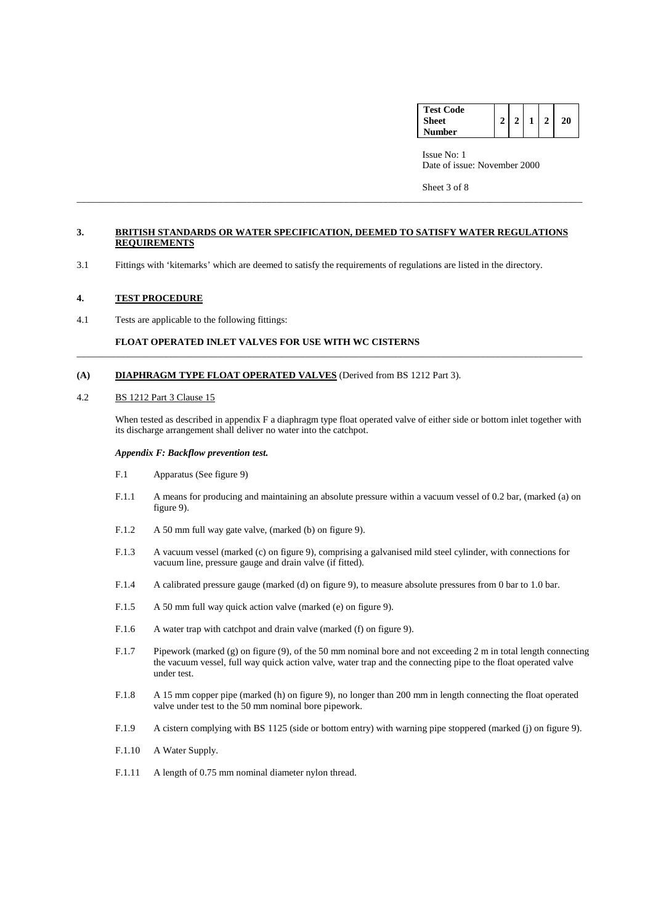| <b>Test Code</b> |  |   |    |
|------------------|--|---|----|
| <b>Sheet</b>     |  | ∍ | 20 |
| <b>Number</b>    |  |   |    |
|                  |  |   |    |

 Issue No: 1 Date of issue: November 2000

Sheet 3 of 8

## **3. BRITISH STANDARDS OR WATER SPECIFICATION, DEEMED TO SATISFY WATER REGULATIONS REQUIREMENTS**

\_\_\_\_\_\_\_\_\_\_\_\_\_\_\_\_\_\_\_\_\_\_\_\_\_\_\_\_\_\_\_\_\_\_\_\_\_\_\_\_\_\_\_\_\_\_\_\_\_\_\_\_\_\_\_\_\_\_\_\_\_\_\_\_\_\_\_\_\_\_\_\_\_\_\_\_\_\_\_\_\_\_\_\_\_\_\_\_\_\_\_\_\_\_\_\_\_\_\_\_\_\_\_\_

\_\_\_\_\_\_\_\_\_\_\_\_\_\_\_\_\_\_\_\_\_\_\_\_\_\_\_\_\_\_\_\_\_\_\_\_\_\_\_\_\_\_\_\_\_\_\_\_\_\_\_\_\_\_\_\_\_\_\_\_\_\_\_\_\_\_\_\_\_\_\_\_\_\_\_\_\_\_\_\_\_\_\_\_\_\_\_\_\_\_\_\_\_\_\_\_\_\_\_\_\_\_\_\_

3.1 Fittings with 'kitemarks' which are deemed to satisfy the requirements of regulations are listed in the directory.

## **4. TEST PROCEDURE**

4.1 Tests are applicable to the following fittings:

## **FLOAT OPERATED INLET VALVES FOR USE WITH WC CISTERNS**

#### **(A) DIAPHRAGM TYPE FLOAT OPERATED VALVES** (Derived from BS 1212 Part 3).

#### 4.2 BS 1212 Part 3 Clause 15

When tested as described in appendix F a diaphragm type float operated valve of either side or bottom inlet together with its discharge arrangement shall deliver no water into the catchpot.

#### *Appendix F: Backflow prevention test.*

- F.1 Apparatus (See figure 9)
- F.1.1 A means for producing and maintaining an absolute pressure within a vacuum vessel of 0.2 bar, (marked (a) on figure 9).
- F.1.2 A 50 mm full way gate valve, (marked (b) on figure 9).
- F.1.3 A vacuum vessel (marked (c) on figure 9), comprising a galvanised mild steel cylinder, with connections for vacuum line, pressure gauge and drain valve (if fitted).
- F.1.4 A calibrated pressure gauge (marked (d) on figure 9), to measure absolute pressures from 0 bar to 1.0 bar.
- F.1.5 A 50 mm full way quick action valve (marked (e) on figure 9).
- F.1.6 A water trap with catchpot and drain valve (marked (f) on figure 9).
- F.1.7 Pipework (marked (g) on figure (9), of the 50 mm nominal bore and not exceeding 2 m in total length connecting the vacuum vessel, full way quick action valve, water trap and the connecting pipe to the float operated valve under test.
- F.1.8 A 15 mm copper pipe (marked (h) on figure 9), no longer than 200 mm in length connecting the float operated valve under test to the 50 mm nominal bore pipework.
- F.1.9 A cistern complying with BS 1125 (side or bottom entry) with warning pipe stoppered (marked (j) on figure 9).
- F.1.10 A Water Supply.
- F.1.11 A length of 0.75 mm nominal diameter nylon thread.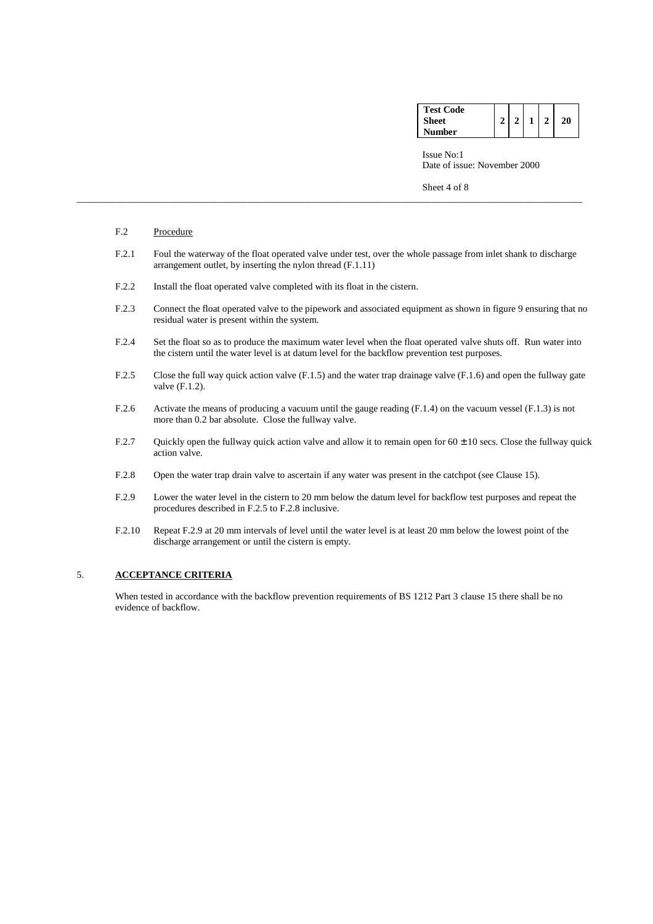| 11<br>20<br>Sheet | <b>Test Code</b> |  |  |  |
|-------------------|------------------|--|--|--|
|                   |                  |  |  |  |
| <b>Number</b>     |                  |  |  |  |

 Issue No:1 Date of issue: November 2000

Sheet 4 of 8

## F.2 Procedure

F.2.1 Foul the waterway of the float operated valve under test, over the whole passage from inlet shank to discharge arrangement outlet, by inserting the nylon thread (F.1.11)

\_\_\_\_\_\_\_\_\_\_\_\_\_\_\_\_\_\_\_\_\_\_\_\_\_\_\_\_\_\_\_\_\_\_\_\_\_\_\_\_\_\_\_\_\_\_\_\_\_\_\_\_\_\_\_\_\_\_\_\_\_\_\_\_\_\_\_\_\_\_\_\_\_\_\_\_\_\_\_\_\_\_\_\_\_\_\_\_\_\_\_\_\_\_\_\_\_\_\_\_\_\_\_\_

- F.2.2 Install the float operated valve completed with its float in the cistern.
- F.2.3 Connect the float operated valve to the pipework and associated equipment as shown in figure 9 ensuring that no residual water is present within the system.
- F.2.4 Set the float so as to produce the maximum water level when the float operated valve shuts off. Run water into the cistern until the water level is at datum level for the backflow prevention test purposes.
- F.2.5 Close the full way quick action valve (F.1.5) and the water trap drainage valve (F.1.6) and open the fullway gate valve (F.1.2).
- F.2.6 Activate the means of producing a vacuum until the gauge reading (F.1.4) on the vacuum vessel (F.1.3) is not more than 0.2 bar absolute. Close the fullway valve.
- F.2.7 Quickly open the fullway quick action valve and allow it to remain open for  $60 \pm 10$  secs. Close the fullway quick action valve.
- F.2.8 Open the water trap drain valve to ascertain if any water was present in the catchpot (see Clause 15).
- F.2.9 Lower the water level in the cistern to 20 mm below the datum level for backflow test purposes and repeat the procedures described in F.2.5 to F.2.8 inclusive.
- F.2.10 Repeat F.2.9 at 20 mm intervals of level until the water level is at least 20 mm below the lowest point of the discharge arrangement or until the cistern is empty.

## 5. **ACCEPTANCE CRITERIA**

When tested in accordance with the backflow prevention requirements of BS 1212 Part 3 clause 15 there shall be no evidence of backflow.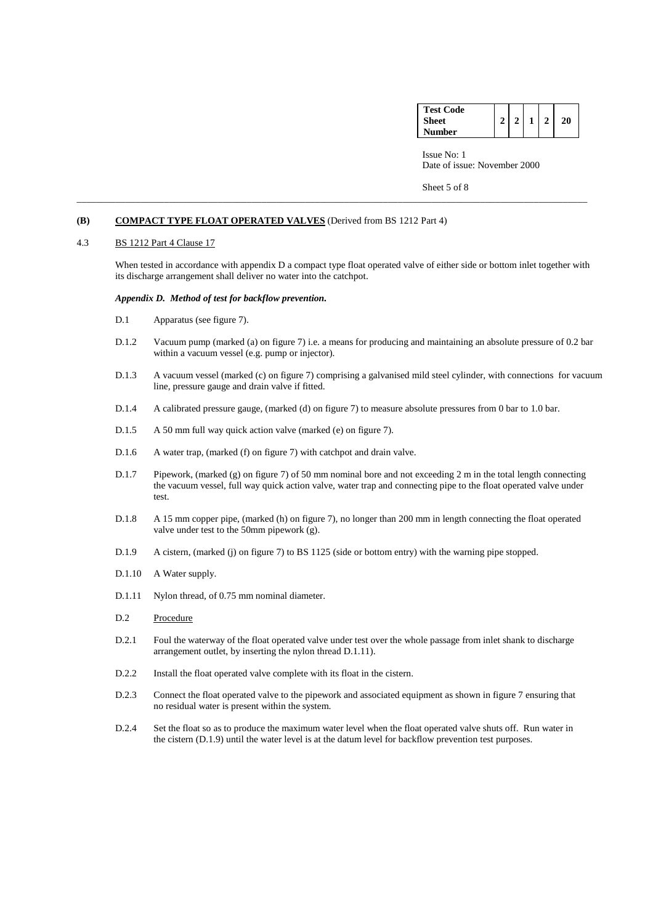| <b>Test Code</b> |  |  |    |
|------------------|--|--|----|
| <b>Sheet</b>     |  |  | 20 |
| Number           |  |  |    |

 Issue No: 1 Date of issue: November 2000

Sheet 5 of 8

## **(B) COMPACT TYPE FLOAT OPERATED VALVES** (Derived from BS 1212 Part 4)

#### 4.3 BS 1212 Part 4 Clause 17

When tested in accordance with appendix D a compact type float operated valve of either side or bottom inlet together with its discharge arrangement shall deliver no water into the catchpot.

\_\_\_\_\_\_\_\_\_\_\_\_\_\_\_\_\_\_\_\_\_\_\_\_\_\_\_\_\_\_\_\_\_\_\_\_\_\_\_\_\_\_\_\_\_\_\_\_\_\_\_\_\_\_\_\_\_\_\_\_\_\_\_\_\_\_\_\_\_\_\_\_\_\_\_\_\_\_\_\_\_\_\_\_\_\_\_\_\_\_\_\_\_\_\_\_\_\_\_\_\_\_\_\_\_

#### *Appendix D. Method of test for backflow prevention.*

- D.1 Apparatus (see figure 7).
- D.1.2 Vacuum pump (marked (a) on figure 7) i.e. a means for producing and maintaining an absolute pressure of 0.2 bar within a vacuum vessel (e.g. pump or injector).
- D.1.3 A vacuum vessel (marked (c) on figure 7) comprising a galvanised mild steel cylinder, with connections for vacuum line, pressure gauge and drain valve if fitted.
- D.1.4 A calibrated pressure gauge, (marked (d) on figure 7) to measure absolute pressures from 0 bar to 1.0 bar.
- D.1.5 A 50 mm full way quick action valve (marked (e) on figure 7).
- D.1.6 A water trap, (marked (f) on figure 7) with catchpot and drain valve.
- D.1.7 Pipework, (marked (g) on figure 7) of 50 mm nominal bore and not exceeding 2 m in the total length connecting the vacuum vessel, full way quick action valve, water trap and connecting pipe to the float operated valve under test.
- D.1.8 A 15 mm copper pipe, (marked (h) on figure 7), no longer than 200 mm in length connecting the float operated valve under test to the 50mm pipework (g).
- D.1.9 A cistern, (marked (j) on figure 7) to BS 1125 (side or bottom entry) with the warning pipe stopped.
- D.1.10 A Water supply.
- D.1.11 Nylon thread, of 0.75 mm nominal diameter.
- D.2 Procedure
- D.2.1 Foul the waterway of the float operated valve under test over the whole passage from inlet shank to discharge arrangement outlet, by inserting the nylon thread D.1.11).
- D.2.2 Install the float operated valve complete with its float in the cistern.
- D.2.3 Connect the float operated valve to the pipework and associated equipment as shown in figure 7 ensuring that no residual water is present within the system.
- D.2.4 Set the float so as to produce the maximum water level when the float operated valve shuts off. Run water in the cistern (D.1.9) until the water level is at the datum level for backflow prevention test purposes.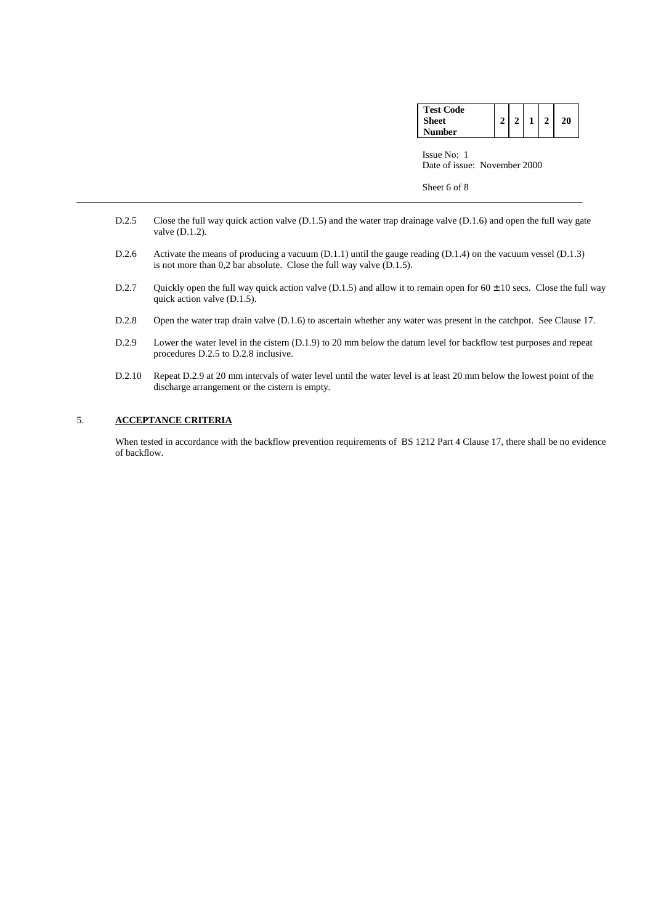| 20<br>Sheet<br>Number | <b>Test Code</b> |  |  |  |
|-----------------------|------------------|--|--|--|
|                       |                  |  |  |  |
|                       |                  |  |  |  |

 Issue No: 1 Date of issue: November 2000

Sheet 6 of 8

D.2.5 Close the full way quick action valve (D.1.5) and the water trap drainage valve (D.1.6) and open the full way gate valve (D.1.2).

\_\_\_\_\_\_\_\_\_\_\_\_\_\_\_\_\_\_\_\_\_\_\_\_\_\_\_\_\_\_\_\_\_\_\_\_\_\_\_\_\_\_\_\_\_\_\_\_\_\_\_\_\_\_\_\_\_\_\_\_\_\_\_\_\_\_\_\_\_\_\_\_\_\_\_\_\_\_\_\_\_\_\_\_\_\_\_\_\_\_\_\_\_\_\_\_\_\_\_\_\_\_\_\_

- D.2.6 Activate the means of producing a vacuum (D.1.1) until the gauge reading (D.1.4) on the vacuum vessel (D.1.3) is not more than 0,2 bar absolute. Close the full way valve (D.1.5).
- D.2.7 Quickly open the full way quick action valve (D.1.5) and allow it to remain open for  $60 \pm 10$  secs. Close the full way quick action valve (D.1.5).
- D.2.8 Open the water trap drain valve (D.1.6) to ascertain whether any water was present in the catchpot. See Clause 17.
- D.2.9 Lower the water level in the cistern (D.1.9) to 20 mm below the datum level for backflow test purposes and repeat procedures D.2.5 to D.2.8 inclusive.
- D.2.10 Repeat D.2.9 at 20 mm intervals of water level until the water level is at least 20 mm below the lowest point of the discharge arrangement or the cistern is empty.

## 5. **ACCEPTANCE CRITERIA**

When tested in accordance with the backflow prevention requirements of BS 1212 Part 4 Clause 17, there shall be no evidence of backflow.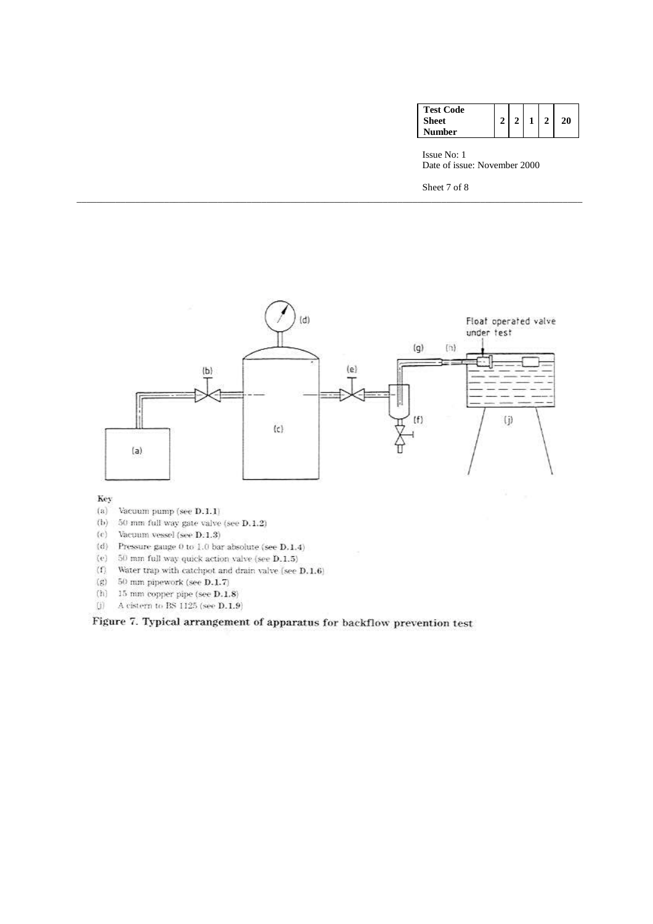| <b>Test Code</b> |              |  |    |
|------------------|--------------|--|----|
| <b>Sheet</b>     | <sub>2</sub> |  | 20 |
| Number           |              |  |    |
|                  |              |  |    |

Issue No: 1 Date of issue: November 2000

Sheet 7 of 8



## Key

- (a) Vacuum pump (see  $D.1.1$ )
- (b) 50 mm full way gate valve (see D.1.2)
- $(c)$  Vacuum vessel (see  $\mathrm{D.1.3})$
- (d) Pressure gauge 0 to 1.0 bar absolute (see D.1.4)
- (e) 50 mm full way quick action valve (see D.1.5)
- $(f)$  Water trap with catchpot and drain valve (see D.1.6)
- (g) 50 mm pipework (see  $D.1.7$ )
- (h)  $15$  mm copper pipe (see D.1.8)
- $\left\langle j\right\rangle$  = A cistern to BS 1125 (see  $\mathbf{D.1.9}$

# Figure 7. Typical arrangement of apparatus for backflow prevention test